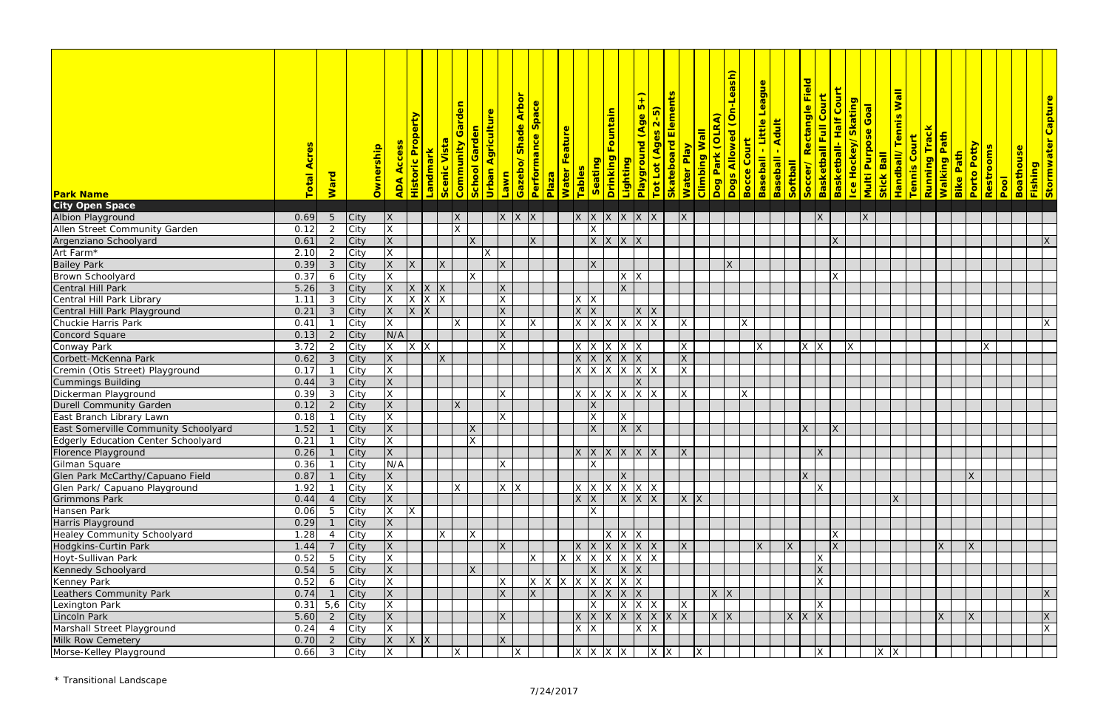|                                                                                  |              |                |             |                          |                       |                         |                                   |                                |                                      |                 |                      |                                                                                                 |                   |                         |                                 |                                      |                   |                            |                                |                 | <mark>Dogs Allowed (On-Leash)</mark> |   |                                            |                  |                   |                                                               |                              |                    |                                 |                 |                     |                            |                           |                                 |                        |      |                                   |                                 |
|----------------------------------------------------------------------------------|--------------|----------------|-------------|--------------------------|-----------------------|-------------------------|-----------------------------------|--------------------------------|--------------------------------------|-----------------|----------------------|-------------------------------------------------------------------------------------------------|-------------------|-------------------------|---------------------------------|--------------------------------------|-------------------|----------------------------|--------------------------------|-----------------|--------------------------------------|---|--------------------------------------------|------------------|-------------------|---------------------------------------------------------------|------------------------------|--------------------|---------------------------------|-----------------|---------------------|----------------------------|---------------------------|---------------------------------|------------------------|------|-----------------------------------|---------------------------------|
|                                                                                  |              |                |             |                          |                       |                         |                                   |                                |                                      |                 |                      |                                                                                                 |                   |                         |                                 |                                      |                   |                            |                                |                 |                                      |   |                                            |                  |                   |                                                               |                              |                    |                                 |                 |                     |                            |                           |                                 |                        |      |                                   |                                 |
|                                                                                  |              |                |             |                          |                       |                         |                                   |                                |                                      | <b>Arbor</b>    |                      |                                                                                                 |                   |                         |                                 | $\overline{5}$                       | $\mathbf{P}$      | <b>Skateboard Elements</b> |                                |                 |                                      |   | <b>League</b>                              |                  |                   | <mark>Soccer/ Rectangle Field</mark><br>Basketball Full Court | <b>Basketball-Half Court</b> |                    |                                 | <b>Wall</b>     |                     |                            |                           |                                 |                        |      |                                   | <mark>Stormwater Capture</mark> |
|                                                                                  |              |                |             |                          |                       |                         | Garden                            | <mark>Urban Agriculture</mark> |                                      |                 | Space                |                                                                                                 |                   |                         | Drinking Fountain               |                                      | $2 - 5)$          |                            |                                |                 |                                      |   |                                            |                  |                   |                                                               |                              | Ice Hockey/Skating | <mark>Multi Purpose Goal</mark> |                 |                     |                            |                           |                                 |                        |      |                                   |                                 |
|                                                                                  |              |                |             | Historic Property        |                       |                         |                                   |                                | <mark>Lawn<br/>Gazebo/Shade /</mark> |                 |                      |                                                                                                 |                   |                         |                                 |                                      | (Age              |                            |                                | Dog Park (OLRA) |                                      |   | Little                                     | Baseball - Adult |                   |                                                               |                              |                    |                                 | Handball/Tennis |                     |                            |                           |                                 |                        |      |                                   |                                 |
|                                                                                  |              |                |             |                          |                       |                         |                                   |                                |                                      |                 |                      |                                                                                                 |                   |                         |                                 |                                      |                   |                            |                                |                 |                                      |   |                                            |                  |                   |                                                               |                              |                    |                                 |                 |                     |                            |                           |                                 |                        |      |                                   |                                 |
|                                                                                  |              |                |             |                          |                       | Vista                   |                                   |                                |                                      |                 |                      |                                                                                                 |                   |                         |                                 |                                      |                   |                            |                                |                 |                                      |   |                                            |                  |                   |                                                               |                              |                    |                                 |                 |                     |                            |                           |                                 |                        |      |                                   |                                 |
|                                                                                  | AC           |                |             | Acces                    |                       |                         |                                   |                                |                                      |                 |                      |                                                                                                 |                   |                         |                                 |                                      |                   |                            |                                |                 |                                      |   |                                            |                  |                   |                                                               |                              |                    |                                 |                 |                     |                            |                           |                                 |                        |      |                                   |                                 |
|                                                                                  |              |                |             |                          |                       |                         |                                   |                                |                                      |                 |                      |                                                                                                 |                   |                         |                                 |                                      |                   |                            |                                |                 |                                      |   |                                            |                  |                   |                                                               |                              |                    |                                 |                 |                     |                            |                           |                                 |                        |      |                                   |                                 |
|                                                                                  | Total        | Ward           | Ownership   | <b>ADA</b>               | <mark>Landmark</mark> | Scenic <sup>'</sup>     | School Garden<br><b>Community</b> |                                |                                      |                 | Performance<br>Plaza | Water Feature                                                                                   | Tables            | Seating                 |                                 | <mark>Lighting<br/>Playground</mark> | Tot Lot (Ages     |                            | Water Play<br>Climbing Wall    |                 |                                      |   | <mark>Bocce Court</mark><br>Baseball - Lii | <b>Softball</b>  |                   |                                                               |                              |                    |                                 | Stick Ball      | <b>Tennis Court</b> | <mark>Running Track</mark> | <mark>Walking Path</mark> | Porto Potty<br><b>Bike Path</b> | <mark>Restrooms</mark> | Pool | <mark>Boathouse</mark><br>Fishing |                                 |
| <b>Park Name</b>                                                                 |              |                |             |                          |                       |                         |                                   |                                |                                      |                 |                      |                                                                                                 |                   |                         |                                 |                                      |                   |                            |                                |                 |                                      |   |                                            |                  |                   |                                                               |                              |                    |                                 |                 |                     |                            |                           |                                 |                        |      |                                   |                                 |
| <b>City Open Space</b>                                                           |              |                |             |                          |                       |                         |                                   |                                |                                      |                 |                      |                                                                                                 |                   |                         |                                 |                                      |                   |                            |                                |                 |                                      |   |                                            |                  |                   |                                                               |                              |                    |                                 |                 |                     |                            |                           |                                 |                        |      |                                   |                                 |
| Albion Playground                                                                | 0.69         | $\overline{5}$ | City        | $\mathsf{X}$             |                       |                         | X                                 |                                |                                      | X X X           |                      |                                                                                                 |                   |                         | X X X X X X                     |                                      |                   |                            | <b>X</b>                       |                 |                                      |   |                                            |                  |                   | <b>X</b>                                                      |                              |                    | X                               |                 |                     |                            |                           |                                 |                        |      |                                   |                                 |
| Allen Street Community Garden<br>Argenziano Schoolyard                           | 0.12         | $\overline{2}$ | City        | $\times$                 |                       |                         | $\mathsf{X}$                      |                                |                                      |                 |                      |                                                                                                 |                   | $\times$                |                                 |                                      |                   |                            |                                |                 |                                      |   |                                            |                  |                   |                                                               |                              |                    |                                 |                 |                     |                            |                           |                                 |                        |      |                                   |                                 |
|                                                                                  | 0.61         | 2              | <b>City</b> | X                        |                       |                         | X                                 |                                |                                      | X               |                      |                                                                                                 |                   | X X                     |                                 | X X                                  |                   |                            |                                |                 |                                      |   |                                            |                  |                   |                                                               | X                            |                    |                                 |                 |                     |                            |                           |                                 |                        |      |                                   | X                               |
| Art Farm*                                                                        | 2.10         | $\overline{2}$ | City        | X                        |                       |                         |                                   | ΙX                             |                                      |                 |                      |                                                                                                 |                   |                         |                                 |                                      |                   |                            |                                |                 |                                      |   |                                            |                  |                   |                                                               |                              |                    |                                 |                 |                     |                            |                           |                                 |                        |      |                                   |                                 |
| <b>Bailey Park</b>                                                               | 0.39         | $\mathbf{3}$   | <b>City</b> | $\overline{X}$<br>X      |                       | X                       |                                   |                                | X                                    |                 |                      |                                                                                                 |                   | IX.                     |                                 |                                      |                   |                            |                                |                 | <b>X</b>                             |   |                                            |                  |                   |                                                               |                              |                    |                                 |                 |                     |                            |                           |                                 |                        |      |                                   |                                 |
| Brown Schoolyard                                                                 | 0.37         | 6              | City        | X                        |                       |                         | $\mathsf{X}$                      |                                |                                      |                 |                      |                                                                                                 |                   |                         |                                 | $X$ $X$                              |                   |                            |                                |                 |                                      |   |                                            |                  |                   |                                                               | $\mathsf{X}^-$               |                    |                                 |                 |                     |                            |                           |                                 |                        |      |                                   |                                 |
| Central Hill Park                                                                | 5.26         | 3              | <b>City</b> | X                        | $X$ $X$               |                         |                                   |                                | X                                    |                 |                      |                                                                                                 |                   |                         | X                               |                                      |                   |                            |                                |                 |                                      |   |                                            |                  |                   |                                                               |                              |                    |                                 |                 |                     |                            |                           |                                 |                        |      |                                   |                                 |
|                                                                                  | 1.11         | $\mathbf{3}$   | City        | $\times$                 | $X$ $X$               | X                       |                                   |                                | $\mathsf{X}$                         |                 |                      |                                                                                                 | $X$ $X$           |                         |                                 |                                      |                   |                            |                                |                 |                                      |   |                                            |                  |                   |                                                               |                              |                    |                                 |                 |                     |                            |                           |                                 |                        |      |                                   |                                 |
| Central Hill Park Library<br>Central Hill Park Playground<br>Chuckie Harris Park | 0.21         | $\mathbf{3}$   | <b>City</b> | X                        | $X$ $X$               |                         |                                   |                                | X                                    |                 |                      |                                                                                                 | $x \mid x$        |                         |                                 |                                      | $x \mid x$        |                            |                                |                 |                                      |   |                                            |                  |                   |                                                               |                              |                    |                                 |                 |                     |                            |                           |                                 |                        |      |                                   |                                 |
|                                                                                  | 0.41         |                | City        | $\overline{X}$           |                       |                         | IX.                               |                                | <b>X</b>                             | <b>X</b>        |                      |                                                                                                 |                   |                         | $X$ $X$ $X$ $X$ $X$             |                                      |                   |                            | X                              |                 |                                      | X |                                            |                  |                   |                                                               |                              |                    |                                 |                 |                     |                            |                           |                                 |                        |      |                                   | X                               |
| <b>Concord Square</b>                                                            | 0.13         | $\mathcal{P}$  | City        | N/A                      |                       |                         |                                   |                                | X                                    |                 |                      |                                                                                                 |                   |                         |                                 |                                      |                   |                            |                                |                 |                                      |   |                                            |                  |                   |                                                               |                              |                    |                                 |                 |                     |                            |                           |                                 |                        |      |                                   |                                 |
| Conway Park                                                                      | 3.72         | 2              | City        | X                        | $X \mid X$            |                         |                                   |                                | $\overline{\mathsf{x}}$              |                 |                      |                                                                                                 | $x \mid x \mid x$ |                         |                                 | $X$ $X$                              |                   |                            | X                              |                 |                                      |   | ΙX                                         |                  |                   | $X$ $X$                                                       |                              | X                  |                                 |                 |                     |                            |                           |                                 |                        |      |                                   |                                 |
| Corbett-McKenna Park                                                             | 0.62         | 3              | City        | X                        |                       | X                       |                                   |                                |                                      |                 |                      |                                                                                                 |                   |                         | $x \mid x \mid x \mid x \mid x$ |                                      |                   |                            | $\mathsf{X}$                   |                 |                                      |   |                                            |                  |                   |                                                               |                              |                    |                                 |                 |                     |                            |                           |                                 |                        |      |                                   |                                 |
| Cremin (Otis Street) Playground                                                  | 0.17         |                | City        | X                        |                       |                         |                                   |                                |                                      |                 |                      |                                                                                                 | $X$ $X$ $X$       |                         |                                 |                                      | $x \mid x \mid x$ |                            | $\mathsf{X}$                   |                 |                                      |   |                                            |                  |                   |                                                               |                              |                    |                                 |                 |                     |                            |                           |                                 |                        |      |                                   |                                 |
| <b>Cummings Building<br/>Dickerman Playground</b>                                | 0.44         | $\mathbf{3}$   | City        | X                        |                       |                         |                                   |                                |                                      |                 |                      |                                                                                                 |                   |                         |                                 | X                                    |                   |                            |                                |                 |                                      |   |                                            |                  |                   |                                                               |                              |                    |                                 |                 |                     |                            |                           |                                 |                        |      |                                   |                                 |
|                                                                                  | 0.39         | 3              | City        | $\overline{\mathsf{x}}$  |                       |                         |                                   |                                | X                                    |                 |                      |                                                                                                 |                   |                         | $x \times x$ $\times x$         |                                      |                   |                            | <b>X</b>                       |                 |                                      | X |                                            |                  |                   |                                                               |                              |                    |                                 |                 |                     |                            |                           |                                 |                        |      |                                   |                                 |
| <b>Durell Community Garden</b>                                                   | 0.12         | $\mathcal{D}$  | City        | X                        |                       |                         | <b>X</b>                          |                                |                                      |                 |                      |                                                                                                 |                   | X                       |                                 |                                      |                   |                            |                                |                 |                                      |   |                                            |                  |                   |                                                               |                              |                    |                                 |                 |                     |                            |                           |                                 |                        |      |                                   |                                 |
| East Branch Library Lawn                                                         | 0.18         |                | City        | X                        |                       |                         |                                   |                                | X                                    |                 |                      |                                                                                                 |                   | $\mathsf{X}$            | $\mathsf{X}$                    |                                      |                   |                            |                                |                 |                                      |   |                                            |                  |                   |                                                               |                              |                    |                                 |                 |                     |                            |                           |                                 |                        |      |                                   |                                 |
| East Somerville Community Schoolyard                                             | 1.52         |                | City        | X                        |                       |                         | X                                 |                                |                                      |                 |                      |                                                                                                 |                   | <b>X</b>                |                                 | X X                                  |                   |                            |                                |                 |                                      |   |                                            |                  | X                 |                                                               | $\mathsf{X}$                 |                    |                                 |                 |                     |                            |                           |                                 |                        |      |                                   |                                 |
| Edgerly Education Center Schoolyard<br>Florence Playground                       | 0.21         |                | City        | X                        |                       |                         | $\mathsf{X}$                      |                                |                                      |                 |                      |                                                                                                 |                   |                         |                                 |                                      |                   |                            |                                |                 |                                      |   |                                            |                  |                   |                                                               |                              |                    |                                 |                 |                     |                            |                           |                                 |                        |      |                                   |                                 |
|                                                                                  | $0.26$ 1     |                | City        | $\overline{X}$           |                       |                         |                                   |                                |                                      |                 |                      |                                                                                                 |                   |                         |                                 |                                      |                   |                            | $x \times x \times x \times x$ |                 |                                      |   |                                            |                  |                   | $\overline{X}$                                                |                              |                    |                                 |                 |                     |                            |                           |                                 |                        |      |                                   |                                 |
| Gilman Square                                                                    | 0.36         |                | City        | N/A                      |                       |                         |                                   |                                | X.                                   |                 |                      |                                                                                                 |                   | $\overline{\mathsf{x}}$ |                                 |                                      |                   |                            |                                |                 |                                      |   |                                            |                  |                   |                                                               |                              |                    |                                 |                 |                     |                            |                           |                                 |                        |      |                                   |                                 |
| Glen Park McCarthy/Capuano Field                                                 | 0.87         |                | City        | X                        |                       |                         |                                   |                                |                                      |                 |                      |                                                                                                 |                   |                         | X                               |                                      |                   |                            |                                |                 |                                      |   |                                            |                  | X                 |                                                               |                              |                    |                                 |                 |                     |                            |                           | $\times$                        |                        |      |                                   |                                 |
| Glen Park/ Capuano Playground                                                    | 1.92         |                | City        | $\mathsf{X}$             |                       |                         | IX.                               |                                | $X$ $X$                              |                 |                      |                                                                                                 |                   |                         | $ X $ $ X $ $ X $ $ X $         |                                      |                   |                            |                                |                 |                                      |   |                                            |                  |                   | <b>X</b>                                                      |                              |                    |                                 |                 |                     |                            |                           |                                 |                        |      |                                   |                                 |
| Grimmons Park                                                                    | 0.44         |                | City        | X                        |                       |                         |                                   |                                |                                      |                 |                      |                                                                                                 | $x \mid x$        |                         |                                 |                                      | $X \times X$      |                            | X X                            |                 |                                      |   |                                            |                  |                   |                                                               |                              |                    |                                 | IX.             |                     |                            |                           |                                 |                        |      |                                   |                                 |
| Hansen Park                                                                      | 0.06         | 5              | City        | X<br>X                   |                       |                         |                                   |                                |                                      |                 |                      |                                                                                                 |                   | IX.                     |                                 |                                      |                   |                            |                                |                 |                                      |   |                                            |                  |                   |                                                               |                              |                    |                                 |                 |                     |                            |                           |                                 |                        |      |                                   |                                 |
| Harris Playground                                                                | 0.29         |                | <b>City</b> | <b>X</b>                 |                       |                         |                                   |                                |                                      |                 |                      |                                                                                                 |                   |                         |                                 |                                      |                   |                            |                                |                 |                                      |   |                                            |                  |                   |                                                               |                              |                    |                                 |                 |                     |                            |                           |                                 |                        |      |                                   |                                 |
| <b>Healey Community Schoolyard</b>                                               | 1.28         |                | City        | $\overline{\mathsf{x}}$  |                       | $\overline{\mathsf{x}}$ | $\mathsf{X}$                      |                                |                                      |                 |                      |                                                                                                 |                   |                         | $X$ $X$ $X$                     |                                      |                   |                            |                                |                 |                                      |   |                                            |                  |                   |                                                               | $\times$                     |                    |                                 |                 |                     |                            |                           |                                 |                        |      |                                   |                                 |
| Hodgkins-Curtin Park                                                             | 1.44         |                | City        | X                        |                       |                         |                                   |                                | X                                    |                 |                      |                                                                                                 |                   |                         | $x \times x$ x $x \times x$     |                                      |                   |                            | X                              |                 |                                      |   | IΧ                                         | <b>X</b>         |                   |                                                               | <b>X</b>                     |                    |                                 |                 |                     |                            | $\overline{\mathsf{X}}$   | ΙX                              |                        |      |                                   |                                 |
| Hoyt-Sullivan Park                                                               | 0.52         | 5              | City        | X                        |                       |                         |                                   |                                |                                      | IX.             |                      |                                                                                                 |                   |                         | $x \times x \times x$           |                                      |                   |                            |                                |                 |                                      |   |                                            |                  |                   | <b>X</b>                                                      |                              |                    |                                 |                 |                     |                            |                           |                                 |                        |      |                                   |                                 |
| Kennedy Schoolyard                                                               | 0.54         | 5 <sup>5</sup> | City        | X                        |                       |                         | X                                 |                                |                                      |                 |                      |                                                                                                 |                   | <b>X</b>                |                                 | X X                                  |                   |                            |                                |                 |                                      |   |                                            |                  |                   | <b>X</b>                                                      |                              |                    |                                 |                 |                     |                            |                           |                                 |                        |      |                                   |                                 |
| Kenney Park                                                                      | 0.52         | 6              | City        | X                        |                       |                         |                                   |                                | X                                    |                 |                      | $\vert x \vert$ $\vert x \vert$ $\vert x \vert$ $\vert x \vert$ $\vert x \vert$ $\vert x \vert$ |                   |                         |                                 |                                      |                   |                            |                                |                 |                                      |   |                                            |                  |                   | ΙX                                                            |                              |                    |                                 |                 |                     |                            |                           |                                 |                        |      |                                   |                                 |
| Leathers Community Park                                                          | 0.74         |                | <b>City</b> | X                        |                       |                         |                                   |                                | X                                    | $\vert x \vert$ |                      |                                                                                                 |                   |                         | $\overline{X}$ $X$ $X$          |                                      |                   |                            |                                |                 | $x \mid x$                           |   |                                            |                  |                   |                                                               |                              |                    |                                 |                 |                     |                            |                           |                                 |                        |      |                                   | X                               |
| Lexington Park<br>Lincoln Park                                                   | 0.31         |                | $5,6$ City  | X                        |                       |                         |                                   |                                |                                      |                 |                      |                                                                                                 |                   | $\mathsf{X}$            |                                 |                                      | $x \mid x \mid x$ |                            | $\mathsf{X}$                   |                 |                                      |   |                                            |                  |                   | $\mathsf{X}$                                                  |                              |                    |                                 |                 |                     |                            |                           |                                 |                        |      |                                   |                                 |
|                                                                                  | 5.60         | $\overline{2}$ | <b>City</b> | X                        |                       |                         |                                   |                                | X                                    |                 |                      |                                                                                                 |                   |                         | x  x  x  x  x  x  x  x          |                                      |                   |                            |                                |                 | X X                                  |   |                                            |                  | $x \mid x \mid x$ |                                                               |                              |                    |                                 |                 |                     |                            | IX                        | IX                              |                        |      |                                   | X<br>$\mathsf{X}^-$             |
| Marshall Street Playground                                                       | 0.24<br>0.70 |                | City        | X                        |                       |                         |                                   |                                | $\mathsf{X}$                         |                 |                      |                                                                                                 | $X$ $X$           |                         |                                 |                                      | $X$ $X$           |                            |                                |                 |                                      |   |                                            |                  |                   |                                                               |                              |                    |                                 |                 |                     |                            |                           |                                 |                        |      |                                   |                                 |
| Milk Row Cemetery                                                                |              | $\overline{2}$ | <b>City</b> | $\mathsf{X}$<br><b>X</b> | $X \mid X$            |                         |                                   |                                |                                      | X               |                      |                                                                                                 |                   |                         |                                 |                                      |                   | $X$ $X$                    | $\mathsf{X}$                   |                 |                                      |   |                                            |                  |                   |                                                               |                              |                    |                                 |                 |                     |                            |                           |                                 |                        |      |                                   |                                 |
| Morse-Kelley Playground                                                          | 0.66         | $\mathbf{3}$   | City        |                          |                       |                         | X                                 |                                |                                      |                 |                      |                                                                                                 |                   |                         | $x \mid x \mid x \mid x \mid$   |                                      |                   |                            |                                |                 |                                      |   |                                            |                  |                   | $\mathsf{X}$                                                  |                              |                    |                                 | $X$ $X$         |                     |                            |                           |                                 |                        |      |                                   |                                 |

\* Transitional Landscape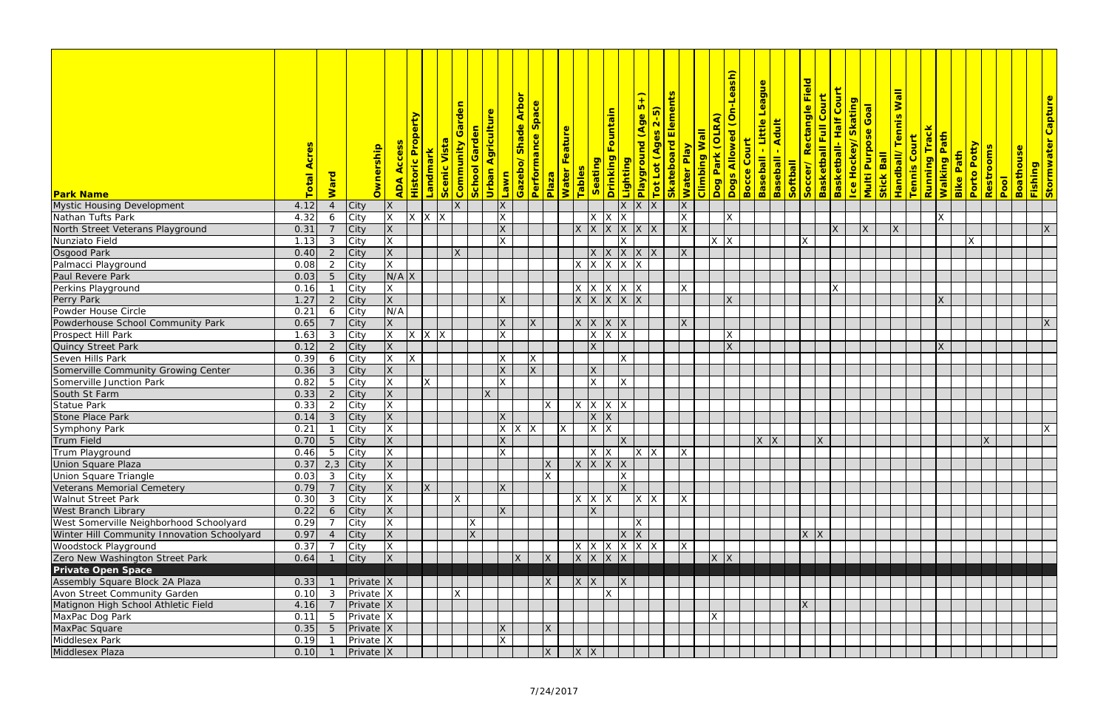|                                             |      |                         |                        |                                |                          |                          |           |                      |                                | <b>Arbor</b> |                |                    |                            |                                        |                   |                                             | $\overline{+}$ |               | <b>Skateboard Elements</b>                                      |                                           | <mark>Dog Park (OLRA)</mark><br>Dogs Allowed (On-Leash) | <b>League</b>                                            | <b>Baseball - Adult<br/>Softball - Adult - Soccer / Rectangle Field - Rectangle Field - Rectangle Field - Rectangle Field - Rectangle Field - Rectangle Field - Rectangle Field - Rectangle Field - Rectangle Field - Rectangle Fiel</b> |                |          |              |                                                                     | <b>Wall</b>                     |                     |                            |                                               |              |                        |                  |                                 |
|---------------------------------------------|------|-------------------------|------------------------|--------------------------------|--------------------------|--------------------------|-----------|----------------------|--------------------------------|--------------|----------------|--------------------|----------------------------|----------------------------------------|-------------------|---------------------------------------------|----------------|---------------|-----------------------------------------------------------------|-------------------------------------------|---------------------------------------------------------|----------------------------------------------------------|------------------------------------------------------------------------------------------------------------------------------------------------------------------------------------------------------------------------------------------|----------------|----------|--------------|---------------------------------------------------------------------|---------------------------------|---------------------|----------------------------|-----------------------------------------------|--------------|------------------------|------------------|---------------------------------|
|                                             |      |                         |                        |                                |                          |                          | Garden    |                      |                                |              | Space          |                    |                            |                                        |                   |                                             | $\overline{5}$ |               |                                                                 |                                           |                                                         |                                                          |                                                                                                                                                                                                                                          |                |          |              | <mark>l ce Hockey/Skating</mark><br><mark>Multi Purpose Goal</mark> |                                 |                     |                            |                                               |              |                        |                  | <mark>Stormwater Capture</mark> |
|                                             |      |                         |                        |                                | <b>Historic Property</b> |                          |           |                      | <mark>Urban Agriculture</mark> |              |                |                    |                            |                                        | Drinking Fountain |                                             |                | $2-5)$        |                                                                 |                                           |                                                         | - Little                                                 |                                                                                                                                                                                                                                          |                |          |              |                                                                     |                                 |                     |                            |                                               |              |                        |                  |                                 |
|                                             |      |                         |                        |                                |                          |                          |           |                      |                                |              |                |                    |                            |                                        |                   |                                             |                |               |                                                                 |                                           |                                                         |                                                          |                                                                                                                                                                                                                                          |                |          |              |                                                                     |                                 |                     |                            |                                               |              |                        |                  |                                 |
|                                             |      |                         |                        |                                |                          |                          |           |                      |                                |              |                |                    |                            |                                        |                   |                                             |                |               |                                                                 |                                           |                                                         |                                                          |                                                                                                                                                                                                                                          |                |          |              |                                                                     |                                 |                     |                            |                                               |              |                        |                  |                                 |
|                                             |      |                         |                        | <mark>Ownership</mark><br>Acce |                          | <b>Nista</b><br>Landmark | Community | <b>School Garden</b> |                                | Gazebo/Shade | Performance    |                    | <mark>Water Feature</mark> |                                        |                   |                                             |                | Tot Lot (Ages |                                                                 |                                           |                                                         |                                                          |                                                                                                                                                                                                                                          |                |          |              |                                                                     |                                 | <b>Tennis Court</b> | <mark>Running Track</mark> | <mark>Walking Path</mark><br><b>Bike Path</b> | Porto Potty  | <mark>Restrooms</mark> | <b>Boathouse</b> |                                 |
|                                             |      |                         |                        |                                |                          |                          |           |                      |                                |              |                |                    |                            | Seating                                |                   |                                             |                |               |                                                                 |                                           |                                                         |                                                          |                                                                                                                                                                                                                                          |                |          |              |                                                                     |                                 |                     |                            |                                               |              |                        |                  |                                 |
|                                             | otal | <b>Ward</b>             |                        |                                |                          |                          |           |                      |                                |              |                |                    |                            |                                        |                   |                                             |                |               |                                                                 |                                           |                                                         |                                                          |                                                                                                                                                                                                                                          |                |          |              |                                                                     |                                 |                     |                            |                                               |              |                        |                  |                                 |
| <b>Park Name</b>                            |      |                         |                        | <b>ADA</b>                     |                          |                          | Scenic    |                      | <b>Lawn</b>                    |              |                | <mark>Plaza</mark> | Tables                     |                                        |                   | <mark>Lighting<br/>Playground (Age !</mark> |                |               |                                                                 | <mark>Water Play<br/>Climbing Wall</mark> |                                                         | <mark>Bocce Court</mark><br><mark>Baseball - Li</mark> i |                                                                                                                                                                                                                                          |                |          |              |                                                                     | Stick Ball<br>Handball/Tennis V |                     |                            |                                               |              | Pool                   |                  | <mark>Fishing</mark>            |
| Mystic Housing Development                  | 4.12 |                         | <b>City</b>            | <b>X</b>                       |                          |                          | X         |                      | X                              |              |                |                    |                            |                                        |                   | $X$ $X$                                     |                |               | X                                                               |                                           |                                                         |                                                          |                                                                                                                                                                                                                                          |                |          |              |                                                                     |                                 |                     |                            |                                               |              |                        |                  |                                 |
| Nathan Tufts Park                           | 4.32 | 6                       | City                   | $\overline{\mathsf{x}}$        | $\mathsf{X}^-$           | X<br>ΙX                  |           |                      | X                              |              |                |                    |                            | <b>X</b>                               | ΙX                |                                             |                |               | $\times$                                                        |                                           | <b>X</b>                                                |                                                          |                                                                                                                                                                                                                                          |                |          |              |                                                                     |                                 |                     | ΙX                         |                                               |              |                        |                  |                                 |
| North Street Veterans Playground            | 0.31 |                         | City                   | <b>X</b>                       |                          |                          |           |                      | X                              |              |                |                    |                            | $x \mid x \mid x$                      |                   | $x \times x$                                |                |               | X                                                               |                                           |                                                         |                                                          |                                                                                                                                                                                                                                          |                |          | $\mathsf{X}$ | $\mathsf{X}$                                                        | $\mathsf{X}$                    |                     |                            |                                               |              |                        |                  | X                               |
| Nunziato Field                              | 1.13 | $\mathbf{3}$            | City                   | $\sf X$                        |                          |                          |           |                      | <b>X</b>                       |              |                |                    |                            |                                        |                   | X                                           |                |               |                                                                 |                                           | $X$ $X$                                                 |                                                          |                                                                                                                                                                                                                                          | $\mathsf{X}^-$ |          |              |                                                                     |                                 |                     |                            |                                               | X            |                        |                  |                                 |
| Osgood Park                                 | 0.40 | $\overline{2}$          | City                   | X                              |                          |                          | X         |                      |                                |              |                |                    |                            | X X                                    |                   | $ X $ $ X $                                 |                |               | X                                                               |                                           |                                                         |                                                          |                                                                                                                                                                                                                                          |                |          |              |                                                                     |                                 |                     |                            |                                               |              |                        |                  |                                 |
| Palmacci Playground                         | 0.08 | 2                       | City                   | $\overline{\mathsf{x}}$        |                          |                          |           |                      |                                |              |                |                    |                            | $X$ $X$ $X$ $X$                        |                   |                                             |                |               |                                                                 |                                           |                                                         |                                                          |                                                                                                                                                                                                                                          |                |          |              |                                                                     |                                 |                     |                            |                                               |              |                        |                  |                                 |
| Paul Revere Park                            | 0.03 |                         | City                   | N/A X                          |                          |                          |           |                      |                                |              |                |                    |                            |                                        |                   |                                             |                |               |                                                                 |                                           |                                                         |                                                          |                                                                                                                                                                                                                                          |                |          |              |                                                                     |                                 |                     |                            |                                               |              |                        |                  |                                 |
| Perkins Playground                          | 0.16 |                         | City                   | X                              |                          |                          |           |                      |                                |              |                |                    |                            | $x \mid x \mid x \mid x \mid x$        |                   |                                             |                |               | $\mathsf{X}$                                                    |                                           |                                                         |                                                          |                                                                                                                                                                                                                                          |                |          | X            |                                                                     |                                 |                     |                            |                                               |              |                        |                  |                                 |
| Perry Park                                  | 1.27 | 2                       | <b>City</b>            | <b>X</b>                       |                          |                          |           |                      | $\overline{\mathsf{x}}$        |              |                |                    |                            | $x \mid x \mid x \mid x \mid x$        |                   |                                             |                |               |                                                                 |                                           | X                                                       |                                                          |                                                                                                                                                                                                                                          |                |          |              |                                                                     |                                 |                     | X                          |                                               |              |                        |                  |                                 |
| Powder House Circle                         | 0.21 | 6                       | City                   | N/A                            |                          |                          |           |                      |                                |              |                |                    |                            |                                        |                   |                                             |                |               |                                                                 |                                           |                                                         |                                                          |                                                                                                                                                                                                                                          |                |          |              |                                                                     |                                 |                     |                            |                                               |              |                        |                  |                                 |
| Powderhouse School Community Park           | 0.65 |                         | City                   | X                              |                          |                          |           |                      | $\mathsf{X}$                   |              | X              |                    |                            | X X X                                  |                   |                                             |                |               | $\mathsf{X}$                                                    |                                           |                                                         |                                                          |                                                                                                                                                                                                                                          |                |          |              |                                                                     |                                 |                     |                            |                                               |              |                        |                  | $\mathsf{X}$                    |
| Prospect Hill Park                          | 1.63 | 3                       | City                   | X                              |                          | $x \mid x \mid x$        |           |                      | X                              |              |                |                    |                            |                                        | $X$ $X$ $X$       |                                             |                |               |                                                                 |                                           | <b>X</b>                                                |                                                          |                                                                                                                                                                                                                                          |                |          |              |                                                                     |                                 |                     |                            |                                               |              |                        |                  |                                 |
| Quincy Street Park                          | 0.12 | $\overline{2}$          | <b>City</b>            | <b>X</b>                       |                          |                          |           |                      |                                |              |                |                    |                            | $\overline{X}$                         |                   |                                             |                |               |                                                                 |                                           | X                                                       |                                                          |                                                                                                                                                                                                                                          |                |          |              |                                                                     |                                 |                     | $\overline{\mathsf{X}}$    |                                               |              |                        |                  |                                 |
| Seven Hills Park                            | 0.39 | 6                       | City                   | X                              | $\mathsf{X}$             |                          |           |                      | $\times$                       |              | $\mathsf{X}$   |                    |                            |                                        |                   | <b>X</b>                                    |                |               |                                                                 |                                           |                                                         |                                                          |                                                                                                                                                                                                                                          |                |          |              |                                                                     |                                 |                     |                            |                                               |              |                        |                  |                                 |
| Somerville Community Growing Center         | 0.36 | $\mathbf{3}$            | <b>City</b>            | <b>X</b>                       |                          |                          |           |                      | X                              |              | $\overline{X}$ |                    |                            | <b>X</b>                               |                   |                                             |                |               |                                                                 |                                           |                                                         |                                                          |                                                                                                                                                                                                                                          |                |          |              |                                                                     |                                 |                     |                            |                                               |              |                        |                  |                                 |
| Somerville Junction Park                    | 0.82 | $5\phantom{.0}$         | City                   | X                              | Χ                        |                          |           |                      | $\times$                       |              |                |                    |                            | $\times$                               |                   | X                                           |                |               |                                                                 |                                           |                                                         |                                                          |                                                                                                                                                                                                                                          |                |          |              |                                                                     |                                 |                     |                            |                                               |              |                        |                  |                                 |
| South St Farm                               | 0.33 | $\overline{2}$          | City                   | <b>X</b>                       |                          |                          |           |                      | $\mathsf{X}$                   |              |                |                    |                            |                                        |                   |                                             |                |               |                                                                 |                                           |                                                         |                                                          |                                                                                                                                                                                                                                          |                |          |              |                                                                     |                                 |                     |                            |                                               |              |                        |                  |                                 |
| <b>Statue Park</b>                          | 0.33 | 2                       | City                   | X                              |                          |                          |           |                      |                                |              |                | X                  |                            | $x \mid x \mid x \mid x$               |                   |                                             |                |               |                                                                 |                                           |                                                         |                                                          |                                                                                                                                                                                                                                          |                |          |              |                                                                     |                                 |                     |                            |                                               |              |                        |                  |                                 |
| <b>Stone Place Park</b>                     | 0.14 | $\mathbf{3}$            | <b>City</b>            | <b>X</b>                       |                          |                          |           |                      | $\overline{\mathsf{x}}$        |              |                |                    |                            | X                                      |                   |                                             |                |               |                                                                 |                                           |                                                         |                                                          |                                                                                                                                                                                                                                          |                |          |              |                                                                     |                                 |                     |                            |                                               |              |                        |                  |                                 |
| Symphony Park                               | 0.21 |                         | City                   | X                              |                          |                          |           |                      |                                | $X$ $X$ $X$  |                | $\overline{X}$     |                            | $\vert$ X $\vert$ X                    |                   |                                             |                |               |                                                                 |                                           |                                                         |                                                          |                                                                                                                                                                                                                                          |                |          |              |                                                                     |                                 |                     |                            |                                               |              |                        |                  | $\mathsf X$                     |
| Trum Field                                  | 0.70 | $\overline{5}$          | <b>City</b>            | X                              |                          |                          |           |                      | X                              |              |                |                    |                            |                                        |                   | X                                           |                |               |                                                                 |                                           |                                                         | $X$ $X$                                                  |                                                                                                                                                                                                                                          |                | <b>X</b> |              |                                                                     |                                 |                     |                            |                                               | $\mathsf{X}$ |                        |                  |                                 |
| Trum Playground                             |      |                         | 0.46 5 City            | $\overline{X}$                 |                          |                          |           |                      | $\overline{X}$                 |              |                |                    |                            |                                        |                   |                                             |                |               | $\vert x \vert x \vert$ $\vert x \vert x \vert$ $\vert x \vert$ |                                           |                                                         |                                                          |                                                                                                                                                                                                                                          |                |          |              |                                                                     |                                 |                     |                            |                                               |              |                        |                  |                                 |
| <b>Union Square Plaza</b>                   | 0.37 |                         | $2,3$ City             | X                              |                          |                          |           |                      |                                |              |                | X                  |                            | X X X                                  |                   |                                             |                |               |                                                                 |                                           |                                                         |                                                          |                                                                                                                                                                                                                                          |                |          |              |                                                                     |                                 |                     |                            |                                               |              |                        |                  |                                 |
| Union Square Triangle                       | 0.03 | $\mathbf{3}$            | City                   | X                              |                          |                          |           |                      |                                |              |                | X                  |                            |                                        |                   | X                                           |                |               |                                                                 |                                           |                                                         |                                                          |                                                                                                                                                                                                                                          |                |          |              |                                                                     |                                 |                     |                            |                                               |              |                        |                  |                                 |
| Veterans Memorial Cemetery                  | 0.79 | $\overline{7}$          | <b>City</b>            | X                              |                          | X                        |           |                      | X                              |              |                |                    |                            |                                        |                   | $\overline{X}$                              |                |               |                                                                 |                                           |                                                         |                                                          |                                                                                                                                                                                                                                          |                |          |              |                                                                     |                                 |                     |                            |                                               |              |                        |                  |                                 |
| <b>Walnut Street Park</b>                   | 0.30 | $\mathbf{3}$            | City                   | $\mathsf{X}$                   |                          |                          | X.        |                      |                                |              |                |                    |                            | $X$ $X$ $X$                            |                   |                                             | $X$ $X$        |               | X                                                               |                                           |                                                         |                                                          |                                                                                                                                                                                                                                          |                |          |              |                                                                     |                                 |                     |                            |                                               |              |                        |                  |                                 |
| <b>West Branch Library</b>                  | 0.22 | 6                       | <b>City</b>            | <b>X</b>                       |                          |                          |           |                      | X                              |              |                |                    |                            | $\mathsf{X}$                           |                   |                                             |                |               |                                                                 |                                           |                                                         |                                                          |                                                                                                                                                                                                                                          |                |          |              |                                                                     |                                 |                     |                            |                                               |              |                        |                  |                                 |
| West Somerville Neighborhood Schoolyard     | 0.29 | $\overline{7}$          | City                   | X                              |                          |                          |           | $\mathsf{X}$         |                                |              |                |                    |                            |                                        |                   |                                             | $\mathsf{X}$   |               |                                                                 |                                           |                                                         |                                                          |                                                                                                                                                                                                                                          |                |          |              |                                                                     |                                 |                     |                            |                                               |              |                        |                  |                                 |
| Winter Hill Community Innovation Schoolyard | 0.97 | $\overline{4}$          | City                   | X                              |                          |                          |           | X                    |                                |              |                |                    |                            |                                        |                   | X X                                         |                |               |                                                                 |                                           |                                                         |                                                          |                                                                                                                                                                                                                                          |                | X X      |              |                                                                     |                                 |                     |                            |                                               |              |                        |                  |                                 |
| Woodstock Playground                        | 0.37 |                         | City                   | X                              |                          |                          |           |                      |                                |              |                |                    |                            | $x \mid x \mid x \mid x \mid x \mid x$ |                   |                                             |                |               | X                                                               |                                           |                                                         |                                                          |                                                                                                                                                                                                                                          |                |          |              |                                                                     |                                 |                     |                            |                                               |              |                        |                  |                                 |
| Zero New Washington Street Park             | 0.64 | $\sqrt{1}$              | <b>City</b>            | $\mathsf{X}$                   |                          |                          |           |                      |                                | X            |                | X                  |                            | X X X                                  |                   |                                             |                |               |                                                                 |                                           | X X                                                     |                                                          |                                                                                                                                                                                                                                          |                |          |              |                                                                     |                                 |                     |                            |                                               |              |                        |                  |                                 |
| <b>Private Open Space</b>                   |      |                         |                        |                                |                          |                          |           |                      |                                |              |                |                    |                            |                                        |                   |                                             |                |               |                                                                 |                                           |                                                         |                                                          |                                                                                                                                                                                                                                          |                |          |              |                                                                     |                                 |                     |                            |                                               |              |                        |                  |                                 |
| Assembly Square Block 2A Plaza              | 0.33 |                         | $Private$ X            |                                |                          |                          |           |                      |                                |              |                | X                  |                            | X X                                    |                   | $\mathsf{X}$                                |                |               |                                                                 |                                           |                                                         |                                                          |                                                                                                                                                                                                                                          |                |          |              |                                                                     |                                 |                     |                            |                                               |              |                        |                  |                                 |
| Avon Street Community Garden                | 0.10 | $\overline{\mathbf{3}}$ |                        | $Private$ $X$                  |                          |                          | X         |                      |                                |              |                |                    |                            |                                        | $\mathsf{X}$      |                                             |                |               |                                                                 |                                           |                                                         |                                                          |                                                                                                                                                                                                                                          |                |          |              |                                                                     |                                 |                     |                            |                                               |              |                        |                  |                                 |
| Matignon High School Athletic Field         | 4.16 | $\overline{7}$          | Private X              |                                |                          |                          |           |                      |                                |              |                |                    |                            |                                        |                   |                                             |                |               |                                                                 |                                           |                                                         |                                                          |                                                                                                                                                                                                                                          | X              |          |              |                                                                     |                                 |                     |                            |                                               |              |                        |                  |                                 |
| MaxPac Dog Park                             | 0.11 | 5                       | Private $\overline{X}$ |                                |                          |                          |           |                      |                                |              |                |                    |                            |                                        |                   |                                             |                |               |                                                                 |                                           | IX.                                                     |                                                          |                                                                                                                                                                                                                                          |                |          |              |                                                                     |                                 |                     |                            |                                               |              |                        |                  |                                 |
| MaxPac Square                               | 0.35 | $5^{\circ}$             | $Private$ $X$          |                                |                          |                          |           |                      | $\mathsf{X}$                   |              |                | $\mathsf{X}$       |                            |                                        |                   |                                             |                |               |                                                                 |                                           |                                                         |                                                          |                                                                                                                                                                                                                                          |                |          |              |                                                                     |                                 |                     |                            |                                               |              |                        |                  |                                 |
| Middlesex Park                              | 0.19 |                         | Private X              |                                |                          |                          |           |                      | $\times$                       |              |                |                    |                            |                                        |                   |                                             |                |               |                                                                 |                                           |                                                         |                                                          |                                                                                                                                                                                                                                          |                |          |              |                                                                     |                                 |                     |                            |                                               |              |                        |                  |                                 |
| Middlesex Plaza                             | 0.10 |                         | $Private$ X            |                                |                          |                          |           |                      |                                |              |                | X                  |                            | X X                                    |                   |                                             |                |               |                                                                 |                                           |                                                         |                                                          |                                                                                                                                                                                                                                          |                |          |              |                                                                     |                                 |                     |                            |                                               |              |                        |                  |                                 |